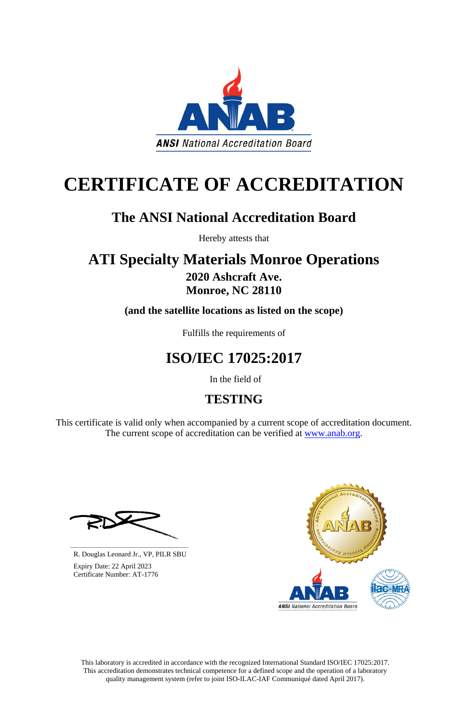This laboratory is accredited in accordance with the recognized International Standard ISO/IEC 17025:2017. This accreditation demonstrates technical competence for a defined scope and the operation of a laboratory quality management system (refer to joint ISO-ILAC-IAF Communiqué dated April 2017).

This certificate is valid only when accompanied by a current scope of accreditation document. The current scope of accreditation can be verified at [www.anab.org.](http://www.anab.org/)







# **CERTIFICATE OF ACCREDITATION**

# **The ANSI National Accreditation Board**

Hereby attests that

### **ATI Specialty Materials Monroe Operations 2020 Ashcraft Ave. Monroe, NC 28110**

**(and the satellite locations as listed on the scope)**

Fulfills the requirements of

# **ISO/IEC 17025:2017**

In the field of

## **TESTING**

**\_\_\_\_\_\_\_\_\_\_\_\_\_\_\_\_\_\_\_\_\_\_\_\_\_\_\_\_\_\_** R. Douglas Leonard Jr., VP, PILR SBU

 Expiry Date: 22 April 2023 Certificate Number: AT-1776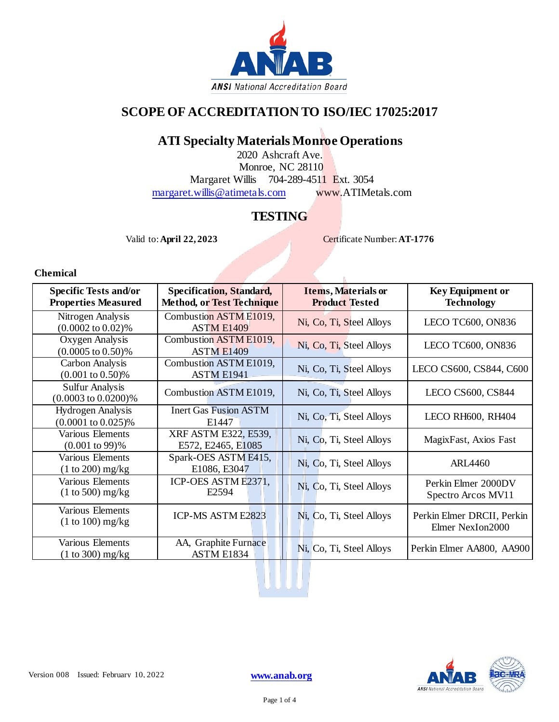

#### **SCOPE OF ACCREDITATION TO ISO/IEC 17025:2017**

#### **ATI Specialty Materials Monroe Operations**

2020 Ashcraft Ave. Monroe, NC 28110 Margaret Willis 704-289-4511 Ext. 3054 [margaret.willis@atimetals.com](mailto:margaret.willis@atimetals.com) [www.ATIMetals.com](http://www.atimetals.com/)

#### **TESTING**

Valid to: **April 22, 2023** Certificate Number: **AT-1776** 

**Chemical**

| <b>Specific Tests and/or</b><br><b>Properties Measured</b> | <b>Specification, Standard,</b><br><b>Method, or Test Technique</b> | <b>Items, Materials or</b><br><b>Product Tested</b> | <b>Key Equipment or</b><br><b>Technology</b>   |
|------------------------------------------------------------|---------------------------------------------------------------------|-----------------------------------------------------|------------------------------------------------|
| Nitrogen Analysis<br>$(0.0002 \text{ to } 0.02)\%$         | Combustion ASTM E1019,<br><b>ASTM E1409</b>                         | Ni, Co, Ti, Steel Alloys                            | LECO TC600, ON836                              |
| Oxygen Analysis<br>$(0.0005 \text{ to } 0.50)\%$           | Combustion ASTM E1019,<br><b>ASTM E1409</b>                         | Ni, Co, Ti, Steel Alloys                            | <b>LECO TC600, ON836</b>                       |
| Carbon Analysis<br>$(0.001 \text{ to } 0.50)\%$            | Combustion ASTM E1019,<br><b>ASTM E1941</b>                         | Ni, Co, Ti, Steel Alloys                            | LECO CS600, CS844, C600                        |
| <b>Sulfur Analysis</b><br>$(0.0003 \text{ to } 0.0200)\%$  | Combustion ASTM E1019,                                              | Ni, Co, Ti, Steel Alloys                            | <b>LECO CS600, CS844</b>                       |
| <b>Hydrogen</b> Analysis<br>$(0.0001 \text{ to } 0.025)\%$ | <b>Inert Gas Fusion ASTM</b><br>E1447                               | Ni, Co, Ti, Steel Alloys                            | LECO RH600, RH404                              |
| Various Elements<br>$(0.001 \text{ to } 99)$ %             | XRF ASTM E322, E539,<br>E572, E2465, E1085                          | Ni, Co, Ti, Steel Alloys                            | MagixFast, Axios Fast                          |
| Various Elements<br>$(1 to 200)$ mg/kg                     | Spark-OES ASTM E415,<br>E1086, E3047                                | Ni, Co, Ti, Steel Alloys                            | <b>ARL4460</b>                                 |
| Various Elements<br>$(1 to 500)$ mg/kg                     | ICP-OES ASTM E2371,<br>E2594                                        | Ni, Co, Ti, Steel Alloys                            | Perkin Elmer 2000DV<br>Spectro Arcos MV11      |
| Various Elements<br>$(1 to 100)$ mg/kg                     | <b>ICP-MS ASTM E2823</b>                                            | Ni, Co, Ti, Steel Alloys                            | Perkin Elmer DRCII, Perkin<br>Elmer NexIon2000 |
| Various Elements<br>$(1 to 300)$ mg/kg                     | AA, Graphite Furnace<br>ASTM E1834                                  | Ni, Co, Ti, Steel Alloys                            | Perkin Elmer AA800, AA900                      |

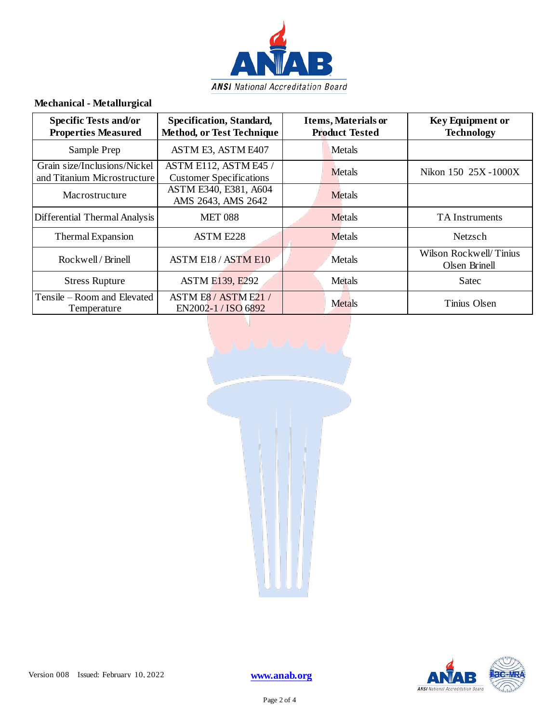

#### **Mechanical - Metallurgical**

| <b>Specific Tests and/or</b><br><b>Properties Measured</b>  | Specification, Standard,<br><b>Method, or Test Technique</b> | <b>Items, Materials or</b><br><b>Product Tested</b> | <b>Key Equipment or</b><br><b>Technology</b> |
|-------------------------------------------------------------|--------------------------------------------------------------|-----------------------------------------------------|----------------------------------------------|
| Sample Prep                                                 | ASTM E3, ASTM E407                                           | <b>Metals</b>                                       |                                              |
| Grain size/Inclusions/Nickel<br>and Titanium Microstructure | ASTM E112, ASTM E45 /<br><b>Customer Specifications</b>      | Metals                                              | Nikon 150 25X-1000X                          |
| Macrostructure                                              | ASTM E340, E381, A604<br>AMS 2643, AMS 2642                  | <b>Metals</b>                                       |                                              |
| Differential Thermal Analysis                               | <b>MET 088</b>                                               | <b>Metals</b>                                       | <b>TA</b> Instruments                        |
| Thermal Expansion                                           | <b>ASTM E228</b>                                             | Metals                                              | Netzsch                                      |
| Rockwell / Brinell                                          | <b>ASTM E18 / ASTM E10</b>                                   | Metals                                              | Wilson Rockwell/Tinius<br>Olsen Brinell      |
| <b>Stress Rupture</b>                                       | <b>ASTM E139, E292</b>                                       | Metals                                              | Satec                                        |
| Tensile – Room and Elevated<br>Temperature                  | ASTM E8 / ASTM E21<br>EN2002-1 / ISO 6892                    | <b>Metals</b>                                       | Tinius Olsen                                 |



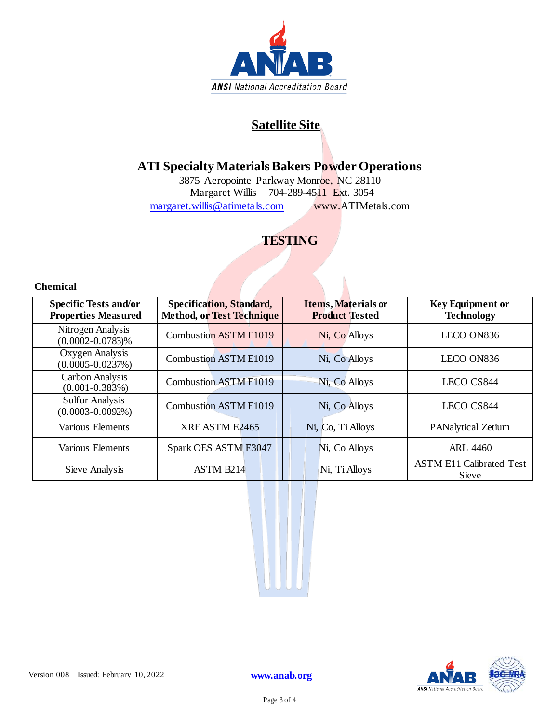

#### **Satellite Site**

#### **ATI Specialty Materials Bakers Powder Operations**

3875 Aeropointe Parkway Monroe, NC 28110 Margaret Willis 704-289-4511 Ext. 3054 [margaret.willis@atimetals.com](mailto:margaret.willis@atimetals.com) [www.ATIMetals.com](http://www.atimetals.com/)

#### **TESTING**

**Chemical**

| <b>Specific Tests and/or</b><br><b>Properties Measured</b> | <b>Specification, Standard,</b><br><b>Method, or Test Technique</b> | <b>Items, Materials or</b><br><b>Product Tested</b> | <b>Key Equipment or</b><br><b>Technology</b> |  |
|------------------------------------------------------------|---------------------------------------------------------------------|-----------------------------------------------------|----------------------------------------------|--|
| Nitrogen Analysis<br>$(0.0002 - 0.0783)\%$                 | <b>Combustion ASTM E1019</b>                                        | Ni, Co Alloys                                       | LECO ON836                                   |  |
| Oxygen Analysis<br>$(0.0005 - 0.0237%)$                    | <b>Combustion ASTM E1019</b>                                        | Ni, Co Alloys                                       | LECO ON836                                   |  |
| Carbon Analysis<br>$(0.001 - 0.383\%)$                     | <b>Combustion ASTM E1019</b>                                        | Ni, Co Alloys                                       | LECO CS844                                   |  |
| <b>Sulfur Analysis</b><br>$(0.0003 - 0.0092\%)$            | <b>Combustion ASTM E1019</b>                                        | Ni, Co Alloys                                       | LECO CS844                                   |  |
| Various Elements                                           | XRF ASTM E2465                                                      | Ni, Co, Ti Alloys                                   | <b>PANalytical Zetium</b>                    |  |
| Various Elements                                           | Spark OES ASTM E3047                                                | Ni, Co Alloys                                       | <b>ARL 4460</b>                              |  |
| Sieve Analysis                                             | <b>ASTM B214</b>                                                    | Ni, Ti Alloys                                       | <b>ASTM E11 Calibrated Test</b><br>Sieve     |  |